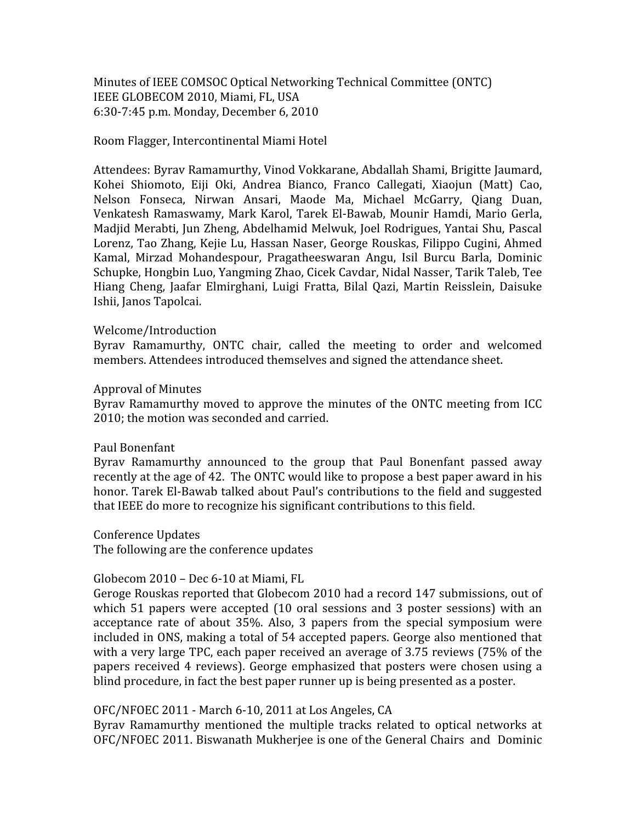Minutes
of
IEEE
COMSOC
Optical
Networking
Technical
Committee
(ONTC) IEEE
GLOBECOM
2010,
Miami,
FL,
USA 6:30‐7:45
p.m.
Monday,
December
6,
2010

#### Room
Flagger,
Intercontinental
Miami
Hotel

Attendees:
Byrav
Ramamurthy,
Vinod
Vokkarane,
Abdallah
Shami,
Brigitte
Jaumard, Kohei
 Shiomoto,
 Eiji
 Oki,
 Andrea
 Bianco,
 Franco
 Callegati,
 Xiaojun
 (Matt)
 Cao, Nelson Fonseca, Nirwan Ansari, Maode Ma, Michael McGarry, Qiang Duan, Venkatesh Ramaswamy, Mark Karol, Tarek El-Bawab, Mounir Hamdi, Mario Gerla, Madjid Merabti, Jun Zheng, Abdelhamid Melwuk, Joel Rodrigues, Yantai Shu, Pascal Lorenz, Tao Zhang, Kejie Lu, Hassan Naser, George Rouskas, Filippo Cugini, Ahmed Kamal,
 Mirzad
 Mohandespour,
 Pragatheeswaran
 Angu,
 Isil
 Burcu
 Barla,
 Dominic Schupke, Hongbin Luo, Yangming Zhao, Cicek Cavdar, Nidal Nasser, Tarik Taleb, Tee Hiang Cheng, Jaafar Elmirghani, Luigi Fratta, Bilal Qazi, Martin Reisslein, Daisuke Ishii,
Janos
Tapolcai.

## Welcome/Introduction

Byrav Ramamurthy, ONTC chair, called the meeting to order and welcomed members. Attendees introduced themselves and signed the attendance sheet.

#### Approval
of
Minutes

Byrav Ramamurthy moved to approve the minutes of the ONTC meeting from ICC 2010;
the
motion
was
seconded
and
carried.

#### Paul
Bonenfant

Byrav Ramamurthy announced to the group that Paul Bonenfant passed away recently at the age of 42. The ONTC would like to propose a best paper award in his honor. Tarek El-Bawab talked about Paul's contributions to the field and suggested that
IEEE
do
more
to
recognize
his
significant
contributions
to
this
field.

Conference
Updates

The
following
are
the
conference
updates

## Globecom
2010 –
Dec
6‐10
at
Miami,
FL

Geroge Rouskas reported that Globecom 2010 had a record 147 submissions, out of which 51 papers were accepted (10 oral sessions and 3 poster sessions) with an acceptance rate of about 35%. Also, 3 papers from the special symposium were included
in
ONS,
making
a
total
of
54
accepted
papers.
George
also
mentioned
that with a very large TPC, each paper received an average of 3.75 reviews (75% of the papers received 4 reviews). George emphasized that posters were chosen using a blind procedure, in fact the best paper runner up is being presented as a poster.

## OFC/NFOEC
2011 ‐ March
6‐10,
2011
at
Los
Angeles,
CA

Byrav Ramamurthy mentioned the multiple tracks related to optical networks at OFC/NFOEC 2011. Biswanath Mukherjee is one of the General Chairs and Dominic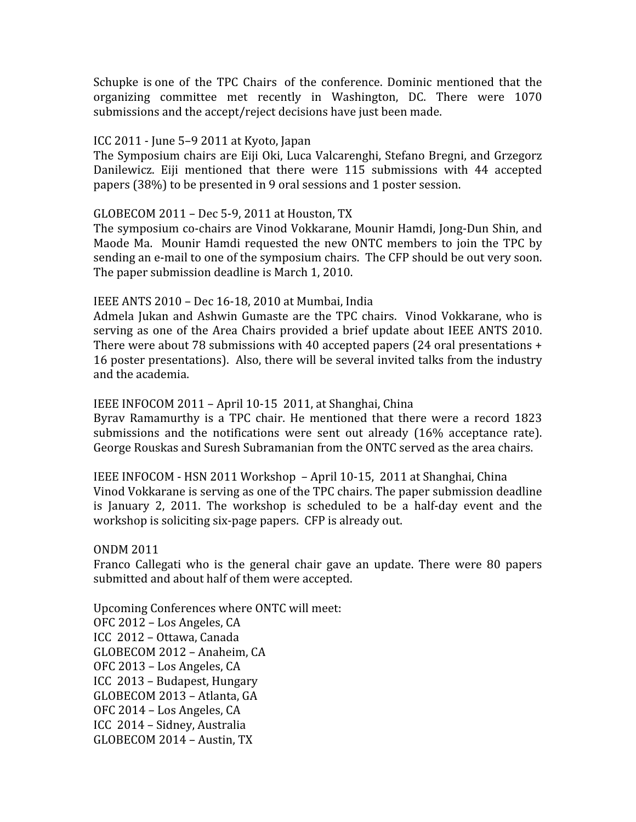Schupke is one of the TPC Chairs of the conference. Dominic mentioned that the organizing
 committee
 met
 recently
 in
 Washington,
 DC.
 There
 were
 1070 submissions
and
the
accept/reject
decisions
have just
been
made.

## ICC
2011 ‐
June
5–9
2011
at
Kyoto,
Japan

The
Symposium
chairs
are
Eiji
Oki,
Luca
Valcarenghi,
Stefano
Bregni,
and
Grzegorz Danilewicz. Eiji mentioned that there were 115 submissions with 44 accepted papers
(38%)
to
be
presented
in
9
oral
sessions
and
1
poster
session.

# GLOBECOM
2011 –
Dec
5‐9,
2011
at
Houston,
TX

The symposium co-chairs are Vinod Vokkarane, Mounir Hamdi, Jong-Dun Shin, and Maode Ma. Mounir Hamdi requested the new ONTC members to join the TPC by sending an e-mail to one of the symposium chairs. The CFP should be out very soon. The
paper
submission
deadline
is
March
1,
2010.

## IEEE
ANTS
2010 –
Dec
16‐18,
2010
at
Mumbai,
India

Admela Jukan and Ashwin Gumaste are the TPC chairs. Vinod Vokkarane, who is serving as one of the Area Chairs provided a brief update about IEEE ANTS 2010. There were about 78 submissions with 40 accepted papers (24 oral presentations + 16
poster
presentations).

Also,
there
will
be
several
invited
talks
from
the
industry and
the
academia.

# IEEE
INFOCOM
2011 – April
10‐15

2011,
at
Shanghai,
China

Byray Ramamurthy is a TPC chair. He mentioned that there were a record 1823 submissions and the notifications were sent out already (16% acceptance rate). George Rouskas and Suresh Subramanian from the ONTC served as the area chairs.

IEEE INFOCOM - HSN 2011 Workshop - April 10-15, 2011 at Shanghai, China Vinod Vokkarane is serving as one of the TPC chairs. The paper submission deadline is January 2, 2011. The workshop is scheduled to be a half-day event and the workshop is soliciting six-page papers. CFP is already out.

## ONDM
2011

Franco Callegati who is the general chair gave an update. There were 80 papers submitted
and
about
half
of
them
were
accepted.

Upcoming
Conferences
where
ONTC
will
meet: OFC
2012
–
Los
Angeles,
CA ICC

2012
–
Ottawa,
Canada GLOBECOM
2012
– Anaheim,
CA OFC
2013
–
Los
Angeles,
CA ICC

2013
– Budapest,
Hungary GLOBECOM
2013
– Atlanta,
GA OFC
2014
–
Los
Angeles,
CA ICC

2014
–
Sidney,
Australia GLOBECOM
2014
– Austin,
TX